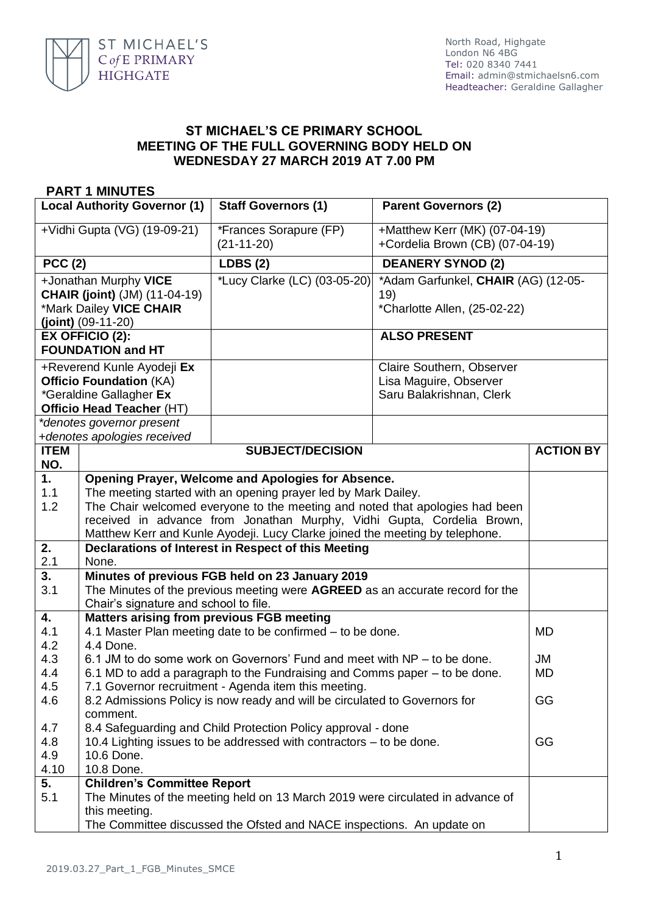

## **ST MICHAEL'S CE PRIMARY SCHOOL MEETING OF THE FULL GOVERNING BODY HELD ON WEDNESDAY 27 MARCH 2019 AT 7.00 PM**

## **PART 1 MINUTES**

| <b>Local Authority Governor (1)</b>                                                                                                                                                     |                                                                                                                                                                                                                                                                                                                                                                | <b>Staff Governors (1)</b>             | <b>Parent Governors (2)</b>                                                     |                  |
|-----------------------------------------------------------------------------------------------------------------------------------------------------------------------------------------|----------------------------------------------------------------------------------------------------------------------------------------------------------------------------------------------------------------------------------------------------------------------------------------------------------------------------------------------------------------|----------------------------------------|---------------------------------------------------------------------------------|------------------|
| +Vidhi Gupta (VG) (19-09-21)                                                                                                                                                            |                                                                                                                                                                                                                                                                                                                                                                | *Frances Sorapure (FP)<br>$(21-11-20)$ | +Matthew Kerr (MK) (07-04-19)<br>+Cordelia Brown (CB) (07-04-19)                |                  |
| <b>PCC (2)</b>                                                                                                                                                                          |                                                                                                                                                                                                                                                                                                                                                                | <b>LDBS (2)</b>                        | <b>DEANERY SYNOD (2)</b>                                                        |                  |
| +Jonathan Murphy VICE<br><b>CHAIR (joint)</b> (JM) (11-04-19)<br>*Mark Dailey VICE CHAIR<br>$(joint)$ (09-11-20)                                                                        |                                                                                                                                                                                                                                                                                                                                                                | *Lucy Clarke (LC) (03-05-20)           | *Adam Garfunkel, CHAIR (AG) (12-05-<br>19)<br>*Charlotte Allen, (25-02-22)      |                  |
| EX OFFICIO (2):<br><b>FOUNDATION and HT</b>                                                                                                                                             |                                                                                                                                                                                                                                                                                                                                                                |                                        | <b>ALSO PRESENT</b>                                                             |                  |
| +Reverend Kunle Ayodeji Ex<br><b>Officio Foundation (KA)</b><br>*Geraldine Gallagher Ex<br><b>Officio Head Teacher (HT)</b><br>*denotes governor present<br>+denotes apologies received |                                                                                                                                                                                                                                                                                                                                                                |                                        | Claire Southern, Observer<br>Lisa Maguire, Observer<br>Saru Balakrishnan, Clerk |                  |
| <b>ITEM</b><br>NO.                                                                                                                                                                      |                                                                                                                                                                                                                                                                                                                                                                | <b>SUBJECT/DECISION</b>                |                                                                                 | <b>ACTION BY</b> |
| 1.<br>1.1<br>1.2                                                                                                                                                                        | Opening Prayer, Welcome and Apologies for Absence.<br>The meeting started with an opening prayer led by Mark Dailey.<br>The Chair welcomed everyone to the meeting and noted that apologies had been<br>received in advance from Jonathan Murphy, Vidhi Gupta, Cordelia Brown,<br>Matthew Kerr and Kunle Ayodeji. Lucy Clarke joined the meeting by telephone. |                                        |                                                                                 |                  |
| 2.<br>2.1                                                                                                                                                                               | Declarations of Interest in Respect of this Meeting<br>None.                                                                                                                                                                                                                                                                                                   |                                        |                                                                                 |                  |
| 3.<br>3.1                                                                                                                                                                               | Minutes of previous FGB held on 23 January 2019<br>The Minutes of the previous meeting were AGREED as an accurate record for the<br>Chair's signature and school to file.                                                                                                                                                                                      |                                        |                                                                                 |                  |
| 4.<br>4.1<br>4.2                                                                                                                                                                        | <b>Matters arising from previous FGB meeting</b><br>4.1 Master Plan meeting date to be confirmed – to be done.<br>4.4 Done.                                                                                                                                                                                                                                    |                                        |                                                                                 | <b>MD</b>        |
| 4.3<br>4.4<br>4.5                                                                                                                                                                       | 6.1 JM to do some work on Governors' Fund and meet with NP – to be done.<br>JM<br>6.1 MD to add a paragraph to the Fundraising and Comms paper – to be done.<br><b>MD</b><br>7.1 Governor recruitment - Agenda item this meeting.                                                                                                                              |                                        |                                                                                 |                  |
| 4.6                                                                                                                                                                                     | GG<br>8.2 Admissions Policy is now ready and will be circulated to Governors for<br>comment.                                                                                                                                                                                                                                                                   |                                        |                                                                                 |                  |
| 4.7<br>4.8<br>4.9<br>4.10                                                                                                                                                               | 8.4 Safeguarding and Child Protection Policy approval - done<br>10.4 Lighting issues to be addressed with contractors – to be done.<br>10.6 Done.<br>10.8 Done.                                                                                                                                                                                                |                                        | GG                                                                              |                  |
| 5.<br>5.1                                                                                                                                                                               | <b>Children's Committee Report</b><br>The Minutes of the meeting held on 13 March 2019 were circulated in advance of<br>this meeting.<br>The Committee discussed the Ofsted and NACE inspections. An update on                                                                                                                                                 |                                        |                                                                                 |                  |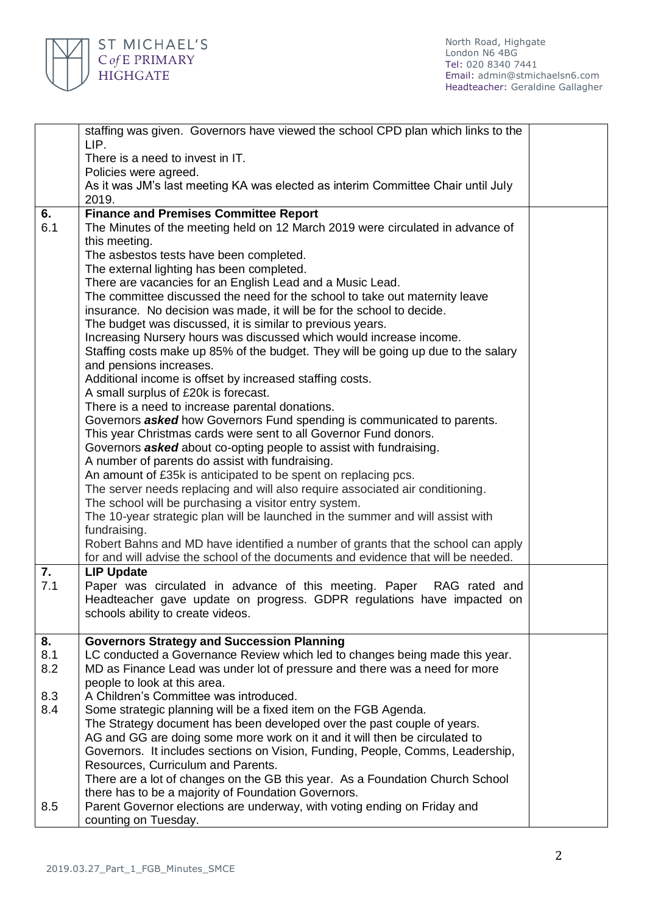

|           | staffing was given. Governors have viewed the school CPD plan which links to the<br>LIP.                                                              |  |  |
|-----------|-------------------------------------------------------------------------------------------------------------------------------------------------------|--|--|
|           | There is a need to invest in IT.                                                                                                                      |  |  |
|           | Policies were agreed.                                                                                                                                 |  |  |
|           | As it was JM's last meeting KA was elected as interim Committee Chair until July                                                                      |  |  |
|           | 2019.                                                                                                                                                 |  |  |
| 6.        | <b>Finance and Premises Committee Report</b>                                                                                                          |  |  |
| 6.1       | The Minutes of the meeting held on 12 March 2019 were circulated in advance of                                                                        |  |  |
|           | this meeting.                                                                                                                                         |  |  |
|           | The asbestos tests have been completed.<br>The external lighting has been completed.                                                                  |  |  |
|           | There are vacancies for an English Lead and a Music Lead.                                                                                             |  |  |
|           | The committee discussed the need for the school to take out maternity leave                                                                           |  |  |
|           | insurance. No decision was made, it will be for the school to decide.                                                                                 |  |  |
|           | The budget was discussed, it is similar to previous years.                                                                                            |  |  |
|           | Increasing Nursery hours was discussed which would increase income.                                                                                   |  |  |
|           | Staffing costs make up 85% of the budget. They will be going up due to the salary                                                                     |  |  |
|           | and pensions increases.                                                                                                                               |  |  |
|           | Additional income is offset by increased staffing costs.                                                                                              |  |  |
|           | A small surplus of £20k is forecast.                                                                                                                  |  |  |
|           | There is a need to increase parental donations.                                                                                                       |  |  |
|           | Governors <b>asked</b> how Governors Fund spending is communicated to parents.<br>This year Christmas cards were sent to all Governor Fund donors.    |  |  |
|           | Governors <b>asked</b> about co-opting people to assist with fundraising.                                                                             |  |  |
|           | A number of parents do assist with fundraising.                                                                                                       |  |  |
|           | An amount of £35k is anticipated to be spent on replacing pcs.                                                                                        |  |  |
|           | The server needs replacing and will also require associated air conditioning.                                                                         |  |  |
|           | The school will be purchasing a visitor entry system.                                                                                                 |  |  |
|           | The 10-year strategic plan will be launched in the summer and will assist with                                                                        |  |  |
|           | fundraising.                                                                                                                                          |  |  |
|           | Robert Bahns and MD have identified a number of grants that the school can apply                                                                      |  |  |
|           | for and will advise the school of the documents and evidence that will be needed.                                                                     |  |  |
| 7.<br>7.1 | <b>LIP Update</b><br>Paper was circulated in advance of this meeting. Paper RAG rated and                                                             |  |  |
|           | Headteacher gave update on progress. GDPR regulations have impacted on                                                                                |  |  |
|           | schools ability to create videos.                                                                                                                     |  |  |
|           |                                                                                                                                                       |  |  |
| 8.        | <b>Governors Strategy and Succession Planning</b>                                                                                                     |  |  |
| 8.1       | LC conducted a Governance Review which led to changes being made this year.                                                                           |  |  |
| 8.2       | MD as Finance Lead was under lot of pressure and there was a need for more                                                                            |  |  |
|           | people to look at this area.                                                                                                                          |  |  |
| 8.3       | A Children's Committee was introduced.                                                                                                                |  |  |
| 8.4       | Some strategic planning will be a fixed item on the FGB Agenda.                                                                                       |  |  |
|           | The Strategy document has been developed over the past couple of years.<br>AG and GG are doing some more work on it and it will then be circulated to |  |  |
|           | Governors. It includes sections on Vision, Funding, People, Comms, Leadership,                                                                        |  |  |
|           | Resources, Curriculum and Parents.                                                                                                                    |  |  |
|           | There are a lot of changes on the GB this year. As a Foundation Church School                                                                         |  |  |
|           | there has to be a majority of Foundation Governors.                                                                                                   |  |  |
| 8.5       | Parent Governor elections are underway, with voting ending on Friday and                                                                              |  |  |
|           | counting on Tuesday.                                                                                                                                  |  |  |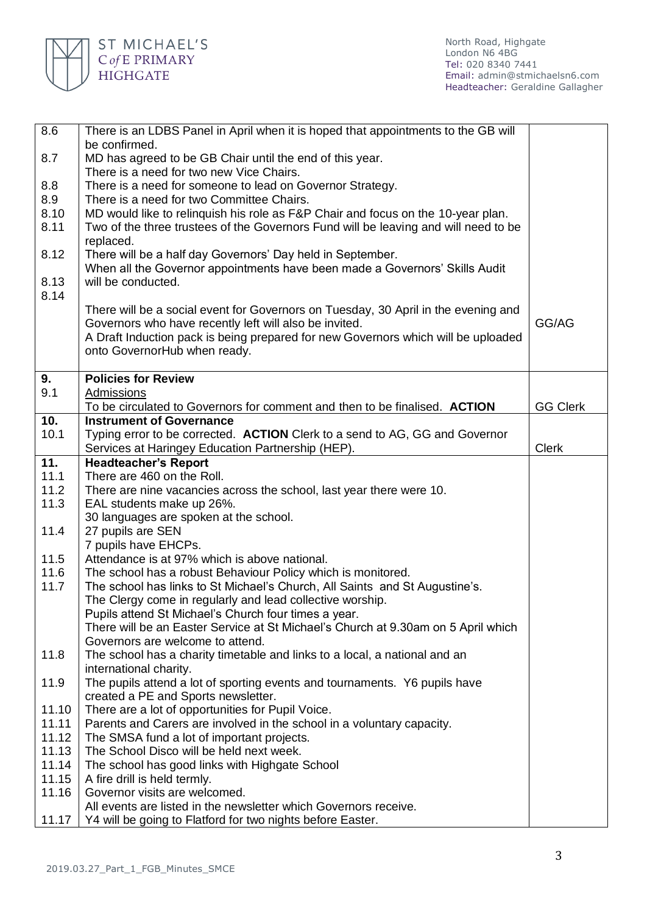

| 8.6            | There is an LDBS Panel in April when it is hoped that appointments to the GB will                                                           |                 |  |
|----------------|---------------------------------------------------------------------------------------------------------------------------------------------|-----------------|--|
|                | be confirmed.                                                                                                                               |                 |  |
| 8.7            | MD has agreed to be GB Chair until the end of this year.                                                                                    |                 |  |
|                | There is a need for two new Vice Chairs.                                                                                                    |                 |  |
| 8.8            | There is a need for someone to lead on Governor Strategy.                                                                                   |                 |  |
| 8.9            | There is a need for two Committee Chairs.                                                                                                   |                 |  |
| 8.10           | MD would like to relinquish his role as F&P Chair and focus on the 10-year plan.                                                            |                 |  |
| 8.11           | Two of the three trustees of the Governors Fund will be leaving and will need to be                                                         |                 |  |
|                | replaced.                                                                                                                                   |                 |  |
| 8.12           | There will be a half day Governors' Day held in September.                                                                                  |                 |  |
| 8.13           | When all the Governor appointments have been made a Governors' Skills Audit<br>will be conducted.                                           |                 |  |
| 8.14           |                                                                                                                                             |                 |  |
|                | There will be a social event for Governors on Tuesday, 30 April in the evening and                                                          |                 |  |
|                |                                                                                                                                             | GG/AG           |  |
|                | Governors who have recently left will also be invited.<br>A Draft Induction pack is being prepared for new Governors which will be uploaded |                 |  |
|                | onto GovernorHub when ready.                                                                                                                |                 |  |
|                |                                                                                                                                             |                 |  |
| 9.             | <b>Policies for Review</b>                                                                                                                  |                 |  |
| 9.1            | Admissions                                                                                                                                  |                 |  |
|                | To be circulated to Governors for comment and then to be finalised. ACTION                                                                  | <b>GG Clerk</b> |  |
| 10.            | <b>Instrument of Governance</b>                                                                                                             |                 |  |
| 10.1           | Typing error to be corrected. ACTION Clerk to a send to AG, GG and Governor                                                                 |                 |  |
|                | Services at Haringey Education Partnership (HEP).                                                                                           | <b>Clerk</b>    |  |
| 11.            | <b>Headteacher's Report</b>                                                                                                                 |                 |  |
| 11.1           | There are 460 on the Roll.                                                                                                                  |                 |  |
| 11.2           | There are nine vacancies across the school, last year there were 10.                                                                        |                 |  |
| 11.3           | EAL students make up 26%.                                                                                                                   |                 |  |
|                | 30 languages are spoken at the school.                                                                                                      |                 |  |
| 11.4           | 27 pupils are SEN                                                                                                                           |                 |  |
|                | 7 pupils have EHCPs.                                                                                                                        |                 |  |
| 11.5           | Attendance is at 97% which is above national.                                                                                               |                 |  |
| 11.6           | The school has a robust Behaviour Policy which is monitored.                                                                                |                 |  |
| 11.7           | The school has links to St Michael's Church, All Saints and St Augustine's.                                                                 |                 |  |
|                | The Clergy come in regularly and lead collective worship.                                                                                   |                 |  |
|                | Pupils attend St Michael's Church four times a year.                                                                                        |                 |  |
|                | There will be an Easter Service at St Michael's Church at 9.30am on 5 April which                                                           |                 |  |
|                | Governors are welcome to attend.                                                                                                            |                 |  |
| 11.8           | The school has a charity timetable and links to a local, a national and an                                                                  |                 |  |
|                | international charity.                                                                                                                      |                 |  |
| 11.9           | The pupils attend a lot of sporting events and tournaments. Y6 pupils have                                                                  |                 |  |
|                | created a PE and Sports newsletter.                                                                                                         |                 |  |
| 11.10          | There are a lot of opportunities for Pupil Voice.                                                                                           |                 |  |
| 11.11          | Parents and Carers are involved in the school in a voluntary capacity.                                                                      |                 |  |
| 11.12<br>11.13 | The SMSA fund a lot of important projects.<br>The School Disco will be held next week.                                                      |                 |  |
|                |                                                                                                                                             |                 |  |
| 11.14<br>11.15 | The school has good links with Highgate School                                                                                              |                 |  |
| 11.16          | A fire drill is held termly.<br>Governor visits are welcomed.                                                                               |                 |  |
|                | All events are listed in the newsletter which Governors receive.                                                                            |                 |  |
| 11.17          | Y4 will be going to Flatford for two nights before Easter.                                                                                  |                 |  |
|                |                                                                                                                                             |                 |  |